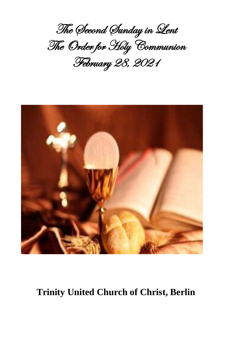The Second Sunday in Lent The Order for Holy Communion February 28, 2021



# **Trinity United Church of Christ, Berlin**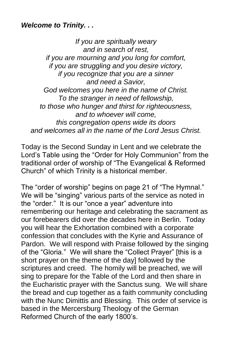## *Welcome to Trinity. . .*

*If you are spiritually weary and in search of rest, if you are mourning and you long for comfort, if you are struggling and you desire victory, if you recognize that you are a sinner and need a Savior, God welcomes you here in the name of Christ. To the stranger in need of fellowship, to those who hunger and thirst for righteousness, and to whoever will come, this congregation opens wide its doors and welcomes all in the name of the Lord Jesus Christ.*

Today is the Second Sunday in Lent and we celebrate the Lord's Table using the "Order for Holy Communion" from the traditional order of worship of "The Evangelical & Reformed Church" of which Trinity is a historical member.

The "order of worship" begins on page 21 of "The Hymnal." We will be "singing" various parts of the service as noted in the "order." It is our "once a year" adventure into remembering our heritage and celebrating the sacrament as our forebearers did over the decades here in Berlin. Today you will hear the Exhortation combined with a corporate confession that concludes with the Kyrie and Assurance of Pardon. We will respond with Praise followed by the singing of the "Gloria." We will share the "Collect Prayer" [this is a short prayer on the theme of the day] followed by the scriptures and creed. The homily will be preached, we will sing to prepare for the Table of the Lord and then share in the Eucharistic prayer with the Sanctus sung. We will share the bread and cup together as a faith community concluding with the Nunc Dimittis and Blessing. This order of service is based in the Mercersburg Theology of the German Reformed Church of the early 1800's.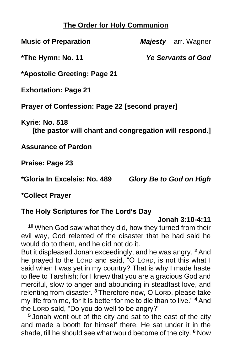## **The Order for Holy Communion**

**Music of Preparation** *Majesty* – arr. Wagner

**\*The Hymn: No. 11** *Ye Servants of God*

**\*Apostolic Greeting: Page 21**

**Exhortation: Page 21**

**Prayer of Confession: Page 22 [second prayer]**

**Kyrie: No. 518** 

**[the pastor will chant and congregation will respond.]**

**Assurance of Pardon**

**Praise: Page 23**

**\*Gloria In Excelsis: No. 489** *Glory Be to God on High*

**\*Collect Prayer**

## **The Holy Scriptures for The Lord's Day**

## **Jonah 3:10-4:11**

**<sup>10</sup>** When God saw what they did, how they turned from their evil way, God relented of the disaster that he had said he would do to them, and he did not do it.

But it displeased Jonah exceedingly, and he was angry. **<sup>2</sup>** And he prayed to the LORD and said, "O LORD, is not this what I said when I was yet in my country? That is why I made haste to flee to Tarshish; for I knew that you are a gracious God and merciful, slow to anger and abounding in steadfast love, and relenting from disaster. **<sup>3</sup>** Therefore now, O LORD, please take my life from me, for it is better for me to die than to live." **<sup>4</sup>** And the LORD said, "Do you do well to be angry?"

**<sup>5</sup>** Jonah went out of the city and sat to the east of the city and made a booth for himself there. He sat under it in the shade, till he should see what would become of the city. **<sup>6</sup>** Now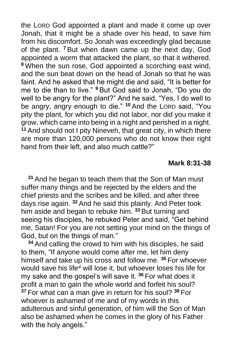the LORD God appointed a plant and made it come up over Jonah, that it might be a shade over his head, to save him from his discomfort. So Jonah was exceedingly glad because of the plant. **<sup>7</sup>** But when dawn came up the next day, God appointed a worm that attacked the plant, so that it withered. **<sup>8</sup>** When the sun rose, God appointed a scorching east wind, and the sun beat down on the head of Jonah so that he was faint. And he asked that he might die and said, "It is better for me to die than to live." **<sup>9</sup>** But God said to Jonah, "Do you do well to be angry for the plant?" And he said, "Yes, I do well to be angry, angry enough to die." **<sup>10</sup>** And the LORD said, "You pity the plant, for which you did not labor, nor did you make it grow, which came into being in a night and perished in a night. **<sup>11</sup>** And should not I pity Nineveh, that great city, in which there are more than 120,000 persons who do not know their right hand from their left, and also much cattle?"

#### **Mark 8:31-38**

**<sup>31</sup>** And he began to teach them that the Son of Man must suffer many things and be rejected by the elders and the chief priests and the scribes and be killed, and after three days rise again. **<sup>32</sup>** And he said this plainly. And Peter took him aside and began to rebuke him. **<sup>33</sup>** But turning and seeing his disciples, he rebuked Peter and said, "Get behind me, Satan! For you are not setting your mind on the things of God, but on the things of man."

**<sup>34</sup>** And calling the crowd to him with his disciples, he said to them, "If anyone would come after me, let him deny himself and take up his cross and follow me. **<sup>35</sup>** For whoever would save his life*<sup>4</sup>* will lose it, but whoever loses his life for my sake and the gospel's will save it. **<sup>36</sup>** For what does it profit a man to gain the whole world and forfeit his soul? **<sup>37</sup>** For what can a man give in return for his soul? **<sup>38</sup>** For whoever is ashamed of me and of my words in this adulterous and sinful generation, of him will the Son of Man also be ashamed when he comes in the glory of his Father with the holy angels."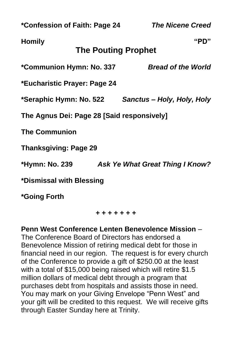**\*Confession of Faith: Page 24** *The Nicene Creed*

## **Homily "PD"**

## **The Pouting Prophet**

**\*Communion Hymn: No. 337** *Bread of the World*

**\*Eucharistic Prayer: Page 24**

**\*Seraphic Hymn: No. 522** *Sanctus – Holy, Holy, Holy*

**The Agnus Dei: Page 28 [Said responsively]**

**The Communion**

**Thanksgiving: Page 29**

**\*Hymn: No. 239** *Ask Ye What Great Thing I Know?*

**\*Dismissal with Blessing**

**\*Going Forth**

**+ + + + + + +**

**Penn West Conference Lenten Benevolence Mission** – The Conference Board of Directors has endorsed a Benevolence Mission of retiring medical debt for those in financial need in our region. The request is for every church of the Conference to provide a gift of \$250.00 at the least with a total of \$15,000 being raised which will retire \$1.5

million dollars of medical debt through a program that purchases debt from hospitals and assists those in need. You may mark on your Giving Envelope "Penn West" and your gift will be credited to this request. We will receive gifts through Easter Sunday here at Trinity.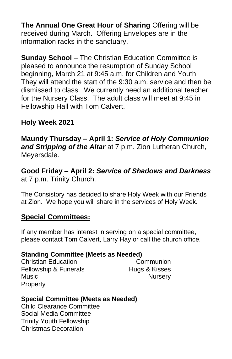**The Annual One Great Hour of Sharing** Offering will be received during March. Offering Envelopes are in the information racks in the sanctuary.

**Sunday School** – The Christian Education Committee is pleased to announce the resumption of Sunday School beginning, March 21 at 9:45 a.m. for Children and Youth. They will attend the start of the 9:30 a.m. service and then be dismissed to class. We currently need an additional teacher for the Nursery Class. The adult class will meet at 9:45 in Fellowship Hall with Tom Calvert.

## **Holy Week 2021**

**Maundy Thursday – April 1:** *Service of Holy Communion and Stripping of the Altar* at 7 p.m. Zion Lutheran Church, Meyersdale.

**Good Friday – April 2:** *Service of Shadows and Darkness* at 7 p.m. Trinity Church.

The Consistory has decided to share Holy Week with our Friends at Zion. We hope you will share in the services of Holy Week.

## **Special Committees:**

If any member has interest in serving on a special committee, please contact Tom Calvert, Larry Hay or call the church office.

#### **Standing Committee (Meets as Needed)**

Christian Education Communion Fellowship & Funerals **Hugs & Kisses** Music **Music Music Nursery Property** 

## **Special Committee (Meets as Needed)**

Child Clearance Committee Social Media Committee Trinity Youth Fellowship Christmas Decoration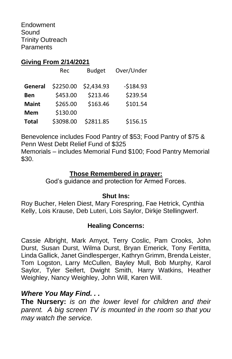Endowment Sound Trinity Outreach **Paraments** 

#### **Giving From 2/14/2021**

|              | Rec       | <b>Budget</b> | Over/Under |
|--------------|-----------|---------------|------------|
| General      | \$2250.00 | \$2,434.93    | $-5184.93$ |
| <b>Ben</b>   | \$453.00  | \$213.46      | \$239.54   |
| <b>Maint</b> | \$265.00  | \$163.46      | \$101.54   |
| <b>Mem</b>   | \$130.00  |               |            |
| <b>Total</b> | \$3098.00 | \$2811.85     | \$156.15   |

Benevolence includes Food Pantry of \$53; Food Pantry of \$75 & Penn West Debt Relief Fund of \$325

Memorials – includes Memorial Fund \$100; Food Pantry Memorial \$30.

#### **Those Remembered in prayer:**

God's guidance and protection for Armed Forces.

#### **Shut Ins:**

Roy Bucher, Helen Diest, Mary Forespring, Fae Hetrick, Cynthia Kelly, Lois Krause, Deb Luteri, Lois Saylor, Dirkje Stellingwerf.

#### **Healing Concerns:**

Cassie Albright, Mark Amyot, Terry Coslic, Pam Crooks, John Durst, Susan Durst, Wilma Durst, Bryan Emerick, Tony Fertitta, Linda Gallick, Janet Gindlesperger, Kathryn Grimm, Brenda Leister, Tom Logston, Larry McCullen, Bayley Mull, Bob Murphy, Karol Saylor, Tyler Seifert, Dwight Smith, Harry Watkins, Heather Weighley, Nancy Weighley, John Will, Karen Will.

## *Where You May Find. . .*

**The Nursery:** *is on the lower level for children and their parent. A big screen TV is mounted in the room so that you may watch the service.*